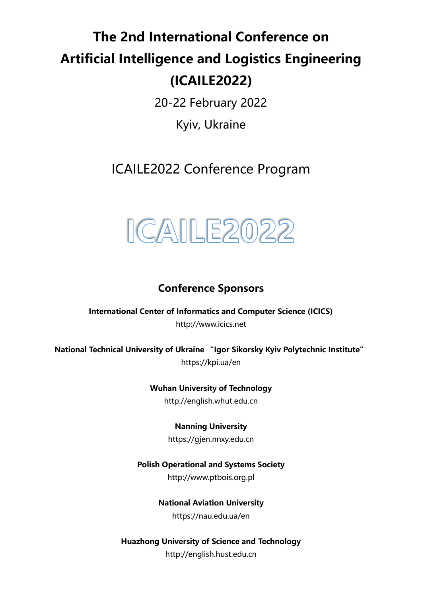# **The 2nd International Conference on Artificial Intelligence and Logistics Engineering (ICAILE2022)**

20-22 February 2022

Kyiv, Ukraine

ICAILE2022 Conference Program



## **Conference Sponsors**

**International Center of Informatics and Computer Science (ICICS)** http://www.icics.net

**National Technical University of Ukraine "Igor Sikorsky Kyiv Polytechnic Institute"** https://kpi.ua/en

> **Wuhan University of Technology** http://english.whut.edu.cn

> > **Nanning University**

https://gjen.nnxy.edu.cn

**Polish Operational and Systems Society**

http://www.ptbois.org.pl

**National Aviation University**

https://nau.edu.ua/en

**Huazhong University of Science and Technology** http://english.hust.edu.cn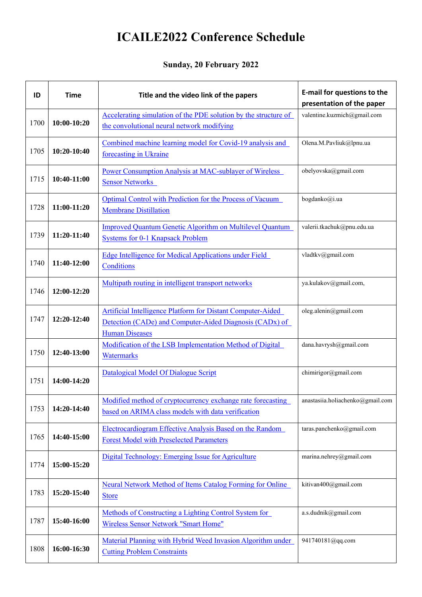# **ICAILE2022 Conference Schedule**

#### **Sunday, 20 February 2022**

| ID   | <b>Time</b> | Title and the video link of the papers                                                                                                                 | E-mail for questions to the<br>presentation of the paper |
|------|-------------|--------------------------------------------------------------------------------------------------------------------------------------------------------|----------------------------------------------------------|
| 1700 | 10:00-10:20 | Accelerating simulation of the PDE solution by the structure of<br>the convolutional neural network modifying                                          | valentine.kuzmich@gmail.com                              |
| 1705 | 10:20-10:40 | Combined machine learning model for Covid-19 analysis and<br>forecasting in Ukraine                                                                    | Olena.M.Pavliuk@lpnu.ua                                  |
| 1715 | 10:40-11:00 | Power Consumption Analysis at MAC-sublayer of Wireless<br><b>Sensor Networks</b>                                                                       | obelyovska@gmail.com                                     |
| 1728 | 11:00-11:20 | Optimal Control with Prediction for the Process of Vacuum<br><b>Membrane Distillation</b>                                                              | bogdanko@i.ua                                            |
| 1739 | 11:20-11:40 | <b>Improved Quantum Genetic Algorithm on Multilevel Quantum</b><br><b>Systems for 0-1 Knapsack Problem</b>                                             | valerii.tkachuk@pnu.edu.ua                               |
| 1740 | 11:40-12:00 | Edge Intelligence for Medical Applications under Field<br>Conditions                                                                                   | vladtkv@gmail.com                                        |
| 1746 | 12:00-12:20 | Multipath routing in intelligent transport networks                                                                                                    | ya.kulakov@gmail.com,                                    |
| 1747 | 12:20-12:40 | <b>Artificial Intelligence Platform for Distant Computer-Aided</b><br>Detection (CADe) and Computer-Aided Diagnosis (CADx) of<br><b>Human Diseases</b> | oleg.alenin@gmail.com                                    |
| 1750 | 12:40-13:00 | Modification of the LSB Implementation Method of Digital<br>Watermarks                                                                                 | dana.havrysh@gmail.com                                   |
| 1751 | 14:00-14:20 | Datalogical Model Of Dialogue Script                                                                                                                   | chimirigor@gmail.com                                     |
| 1753 | 14:20-14:40 | Modified method of cryptocurrency exchange rate forecasting<br>based on ARIMA class models with data verification                                      | anastasiia.holiachenko@gmail.com                         |
| 1765 | 14:40-15:00 | Electrocardiogram Effective Analysis Based on the Random<br><b>Forest Model with Preselected Parameters</b>                                            | taras.panchenko@gmail.com                                |
| 1774 | 15:00-15:20 | Digital Technology: Emerging Issue for Agriculture                                                                                                     | marina.nehrey@gmail.com                                  |
| 1783 | 15:20-15:40 | Neural Network Method of Items Catalog Forming for Online<br><b>Store</b>                                                                              | kitivan400@gmail.com                                     |
| 1787 | 15:40-16:00 | Methods of Constructing a Lighting Control System for<br><b>Wireless Sensor Network "Smart Home"</b>                                                   | a.s.dudnik@gmail.com                                     |
| 1808 | 16:00-16:30 | Material Planning with Hybrid Weed Invasion Algorithm under<br><b>Cutting Problem Constraints</b>                                                      | 941740181@qq.com                                         |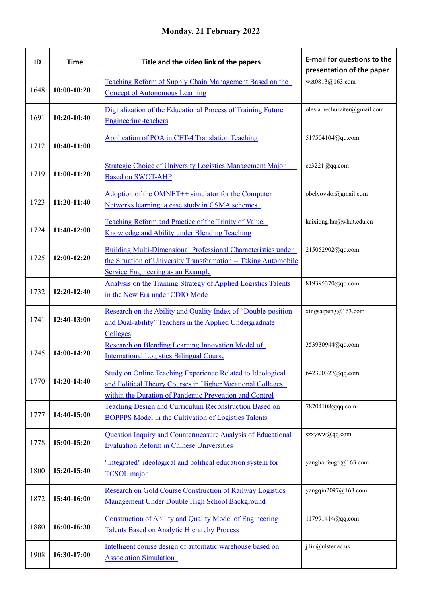### **Monday, 21 February 2022**

| ID   | <b>Time</b> | Title and the video link of the papers                                                                                                                                                    | E-mail for questions to the<br>presentation of the paper |
|------|-------------|-------------------------------------------------------------------------------------------------------------------------------------------------------------------------------------------|----------------------------------------------------------|
| 1648 | 10:00-10:20 | Teaching Reform of Supply Chain Management Based on the<br><b>Concept of Autonomous Learning</b>                                                                                          | wzt0813@163.com                                          |
| 1691 | 10:20-10:40 | Digitalization of the Educational Process of Training Future<br><b>Engineering-teachers</b>                                                                                               | olesia.nechuiviter@gmail.com                             |
| 1712 | 10:40-11:00 | <b>Application of POA in CET-4 Translation Teaching</b>                                                                                                                                   | 517504104@qq.com                                         |
| 1719 | 11:00-11:20 | Strategic Choice of University Logistics Management Major<br><b>Based on SWOT-AHP</b>                                                                                                     | cc3221@qq.com                                            |
| 1723 | 11:20-11:40 | Adoption of the OMNET++ simulator for the Computer<br>Networks learning: a case study in CSMA schemes                                                                                     | obelyovska@gmail.com                                     |
| 1724 | 11:40-12:00 | Teaching Reform and Practice of the Trinity of Value,<br>Knowledge and Ability under Blending Teaching                                                                                    | kaixiong.hu@whut.edu.cn                                  |
| 1725 | 12:00-12:20 | <b>Building Multi-Dimensional Professional Characteristics under</b><br>the Situation of University Transformation -- Taking Automobile<br>Service Engineering as an Example              | 215052902@qq.com                                         |
| 1732 | 12:20-12:40 | Analysis on the Training Strategy of Applied Logistics Talents<br>in the New Era under CDIO Mode                                                                                          | 819395370@qq.com                                         |
| 1741 | 12:40-13:00 | Research on the Ability and Quality Index of "Double-position<br>and Dual-ability" Teachers in the Applied Undergraduate<br>Colleges                                                      | xingsaipeng@163.com                                      |
| 1745 | 14:00-14:20 | Research on Blending Learning Innovation Model of<br><b>International Logistics Bilingual Course</b>                                                                                      | 353930944@qq.com                                         |
| 1770 | 14:20-14:40 | <b>Study on Online Teaching Experience Related to Ideological</b><br>and Political Theory Courses in Higher Vocational Colleges<br>within the Duration of Pandemic Prevention and Control | 642320327@qq.com                                         |
| 1777 | 14:40-15:00 | Teaching Design and Curriculum Reconstruction Based on<br><b>BOPPPS Model in the Cultivation of Logistics Talents</b>                                                                     | 78704108@qq.com                                          |
| 1778 | 15:00-15:20 | Question Inquiry and Countermeasure Analysis of Educational<br><b>Evaluation Reform in Chinese Universities</b>                                                                           | szxyww@qq.com                                            |
| 1800 | 15:20-15:40 | "integrated" ideological and political education system for<br><b>TCSOL</b> major                                                                                                         | yanghaifengtl@163.com                                    |
| 1872 | 15:40-16:00 | Research on Gold Course Construction of Railway Logistics<br>Management Under Double High School Background                                                                               | yangqin2097@163.com                                      |
| 1880 | 16:00-16:30 | Construction of Ability and Quality Model of Engineering<br><b>Talents Based on Analytic Hierarchy Process</b>                                                                            | 117991414@qq.com                                         |
| 1908 | 16:30-17:00 | Intelligent course design of automatic warehouse based on<br><b>Association Simulation</b>                                                                                                | j.liu@ulster.ac.uk                                       |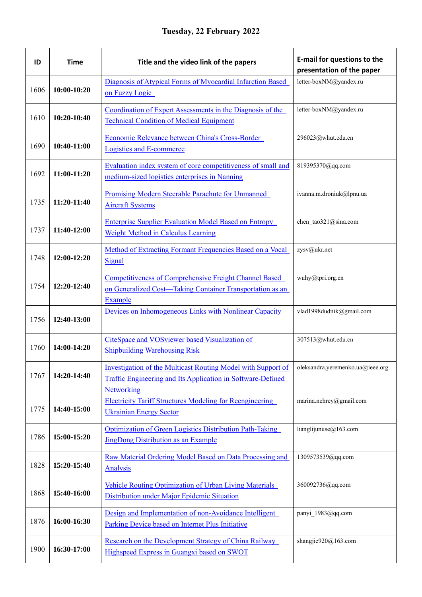| ID   | <b>Time</b>   | Title and the video link of the papers                                                                                                                                       | <b>E-mail for questions to the</b><br>presentation of the paper |
|------|---------------|------------------------------------------------------------------------------------------------------------------------------------------------------------------------------|-----------------------------------------------------------------|
| 1606 | $10:00-10:20$ | Diagnosis of Atypical Forms of Myocardial Infarction Based<br>on Fuzzy Logic                                                                                                 | letter-boxNM@yandex.ru                                          |
| 1610 | 10:20-10:40   | Coordination of Expert Assessments in the Diagnosis of the<br><b>Technical Condition of Medical Equipment</b>                                                                | letter-boxNM@yandex.ru                                          |
| 1690 | 10:40-11:00   | Economic Relevance between China's Cross-Border<br><b>Logistics and E-commerce</b>                                                                                           | 296023@whut.edu.cn                                              |
| 1692 | 11:00-11:20   | Evaluation index system of core competitiveness of small and<br>medium-sized logistics enterprises in Nanning                                                                | 819395370@qq.com                                                |
| 1735 | 11:20-11:40   | Promising Modern Steerable Parachute for Unmanned<br><b>Aircraft Systems</b>                                                                                                 | ivanna.m.droniuk@lpnu.ua                                        |
| 1737 | 11:40-12:00   | <b>Enterprise Supplier Evaluation Model Based on Entropy</b><br><b>Weight Method in Calculus Learning</b>                                                                    | chen tao321@sina.com                                            |
| 1748 | 12:00-12:20   | Method of Extracting Formant Frequencies Based on a Vocal<br>Signal                                                                                                          | zysv@ukr.net                                                    |
| 1754 | 12:20-12:40   | <b>Competitiveness of Comprehensive Freight Channel Based</b><br>on Generalized Cost—Taking Container Transportation as an<br>Example                                        | wuhy@tpri.org.cn                                                |
| 1756 | 12:40-13:00   | Devices on Inhomogeneous Links with Nonlinear Capacity                                                                                                                       | vlad1998dudnik@gmail.com                                        |
| 1760 | 14:00-14:20   | CiteSpace and VOSviewer based Visualization of<br><b>Shipbuilding Warehousing Risk</b>                                                                                       | 307513@whut.edu.cn                                              |
| 1767 | 14:20-14:40   | Investigation of the Multicast Routing Model with Support of   oleksandra.yeremenko.ua@ieee.org<br>Traffic Engineering and Its Application in Software-Defined<br>Networking |                                                                 |
| 1775 | 14:40-15:00   | <b>Electricity Tariff Structures Modeling for Reengineering</b><br><b>Ukrainian Energy Sector</b>                                                                            | marina.nehrey@gmail.com                                         |
| 1786 | 15:00-15:20   | Optimization of Green Logistics Distribution Path-Taking<br><b>JingDong Distribution as an Example</b>                                                                       | lianglijunuse@163.com                                           |
| 1828 | 15:20-15:40   | Raw Material Ordering Model Based on Data Processing and<br><b>Analysis</b>                                                                                                  | 1309573539@qq.com                                               |
| 1868 | 15:40-16:00   | <b>Vehicle Routing Optimization of Urban Living Materials</b><br>Distribution under Major Epidemic Situation                                                                 | 360092736@qq.com                                                |
| 1876 | 16:00-16:30   | Design and Implementation of non-Avoidance Intelligent<br>Parking Device based on Internet Plus Initiative                                                                   | panyi_1983@qq.com                                               |
| 1900 | 16:30-17:00   | Research on the Development Strategy of China Railway<br>Highspeed Express in Guangxi based on SWOT                                                                          | shangjie920@163.com                                             |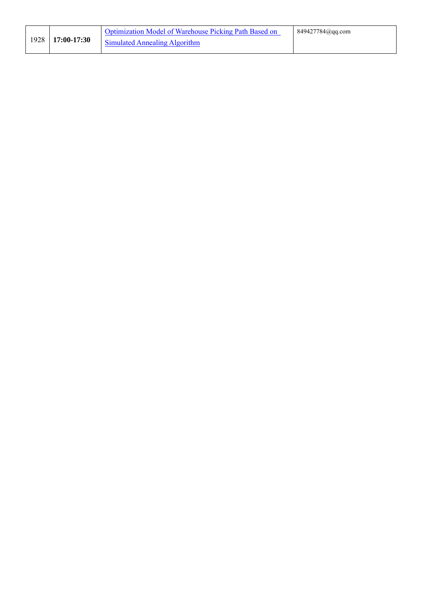|  | 1928   17:00-17:30 | Optimization Model of Warehouse Picking Path Based on | 849427784@qq.com |
|--|--------------------|-------------------------------------------------------|------------------|
|  |                    | <b>Simulated Annealing Algorithm</b>                  |                  |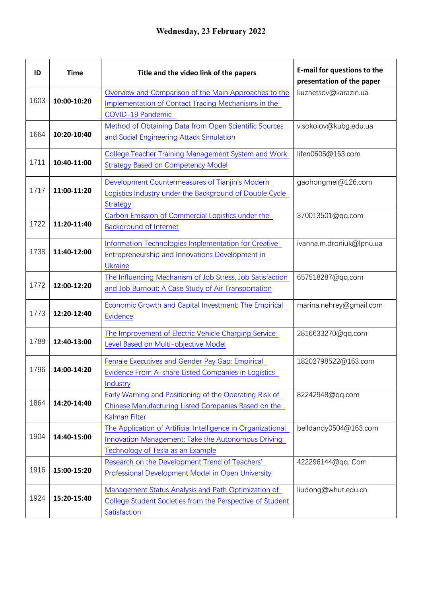| ID   | <b>Time</b> | Title and the video link of the papers                                                                                                                  | <b>E-mail for questions to the</b><br>presentation of the paper |
|------|-------------|---------------------------------------------------------------------------------------------------------------------------------------------------------|-----------------------------------------------------------------|
| 1603 | 10:00-10:20 | Overview and Comparison of the Main Approaches to the<br>Implementation of Contact Tracing Mechanisms in the<br><b>COVID-19 Pandemic</b>                | kuznetsov@karazin.ua                                            |
| 1664 | 10:20-10:40 | Method of Obtaining Data from Open Scientific Sources<br>and Social Engineering Attack Simulation                                                       | v.sokolov@kubg.edu.ua                                           |
| 1711 | 10:40-11:00 | <b>College Teacher Training Management System and Work</b><br><b>Strategy Based on Competency Model</b>                                                 | lifen0605@163.com                                               |
| 1717 | 11:00-11:20 | Development Countermeasures of Tianjin's Modern<br>Logistics Industry under the Background of Double Cycle<br><b>Strategy</b>                           | gaohongmei@126.com                                              |
| 1722 | 11:20-11:40 | Carbon Emission of Commercial Logistics under the<br><b>Background of Internet</b>                                                                      | 370013501@qq.com                                                |
| 1738 | 11:40-12:00 | Information Technologies Implementation for Creative<br><b>Entrepreneurship and Innovations Development in</b><br><b>Ukraine</b>                        | ivanna.m.droniuk@lpnu.ua                                        |
| 1772 | 12:00-12:20 | The Influencing Mechanism of Job Stress, Job Satisfaction<br>and Job Burnout: A Case Study of Air Transportation                                        | 657518287@qq.com                                                |
| 1773 | 12:20-12:40 | <b>Economic Growth and Capital Investment: The Empirical</b><br><b>Evidence</b>                                                                         | marina.nehrey@gmail.com                                         |
| 1788 | 12:40-13:00 | The Improvement of Electric Vehicle Charging Service<br>Level Based on Multi-objective Model                                                            | 2816633270@qq.com                                               |
| 1796 | 14:00-14:20 | Female Executives and Gender Pay Gap: Empirical<br>Evidence From A-share Listed Companies in Logistics<br>Industry                                      | 18202798522@163.com                                             |
| 1864 | 14:20-14:40 | Early Warning and Positioning of the Operating Risk of<br>Chinese Manufacturing Listed Companies Based on the<br><b>Kalman Filter</b>                   | 82242948@qq.com                                                 |
| 1904 | 14:40-15:00 | The Application of Artificial Intelligence in Organizational<br>Innovation Management: Take the Autonomous Driving<br>Technology of Tesla as an Example | belldandy0504@163.com                                           |
| 1916 | 15:00-15:20 | Research on the Development Trend of Teachers'<br><b>Professional Development Model in Open University</b>                                              | 422296144@qq. Com                                               |
| 1924 | 15:20-15:40 | Management Status Analysis and Path Optimization of<br>College Student Societies from the Perspective of Student<br>Satisfaction                        | liudong@whut.edu.cn                                             |